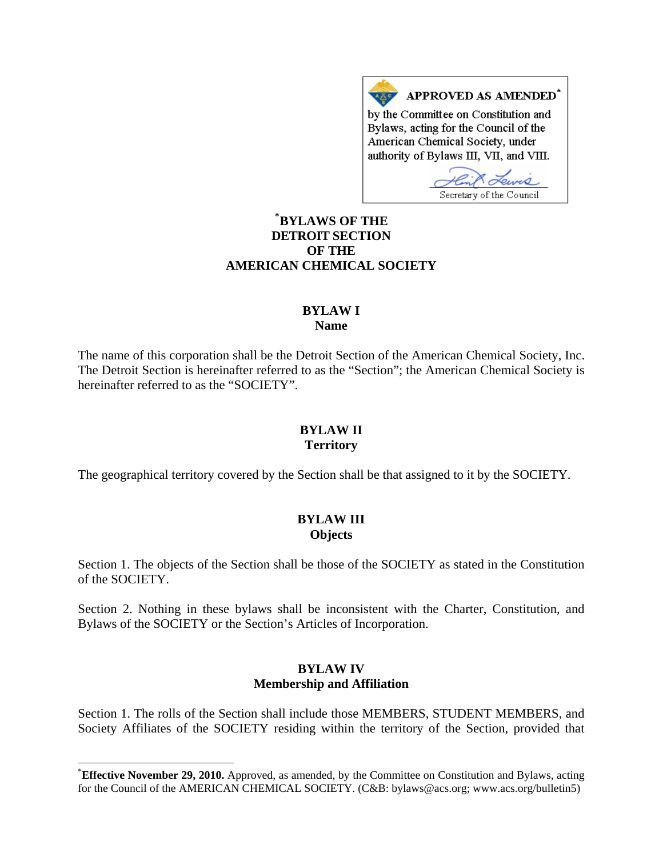APPROVED AS AMENDED<sup>\*</sup> by the Committee on Constitution and Bylaws, acting for the Council of the American Chemical Society, under authority of Bylaws III, VII, and VIII.

Secretary of the Council

# **[\\*](#page-0-0) BYLAWS OF THE DETROIT SECTION OF THE AMERICAN CHEMICAL SOCIETY**

#### **BYLAW I Name**

The name of this corporation shall be the Detroit Section of the American Chemical Society, Inc. The Detroit Section is hereinafter referred to as the "Section"; the American Chemical Society is hereinafter referred to as the "SOCIETY".

## **BYLAW II Territory**

The geographical territory covered by the Section shall be that assigned to it by the SOCIETY.

## **BYLAW III Objects**

Section 1. The objects of the Section shall be those of the SOCIETY as stated in the Constitution of the SOCIETY.

Section 2. Nothing in these bylaws shall be inconsistent with the Charter, Constitution, and Bylaws of the SOCIETY or the Section's Articles of Incorporation.

#### **BYLAW IV Membership and Affiliation**

Section 1. The rolls of the Section shall include those MEMBERS, STUDENT MEMBERS, and Society Affiliates of the SOCIETY residing within the territory of the Section, provided that

 $\overline{\phantom{a}}$ 

<span id="page-0-0"></span><sup>\*</sup> **Effective November 29, 2010.** Approved, as amended, by the Committee on Constitution and Bylaws, acting for the Council of the AMERICAN CHEMICAL SOCIETY. (C&B: bylaws@acs.org; www.acs.org/bulletin5)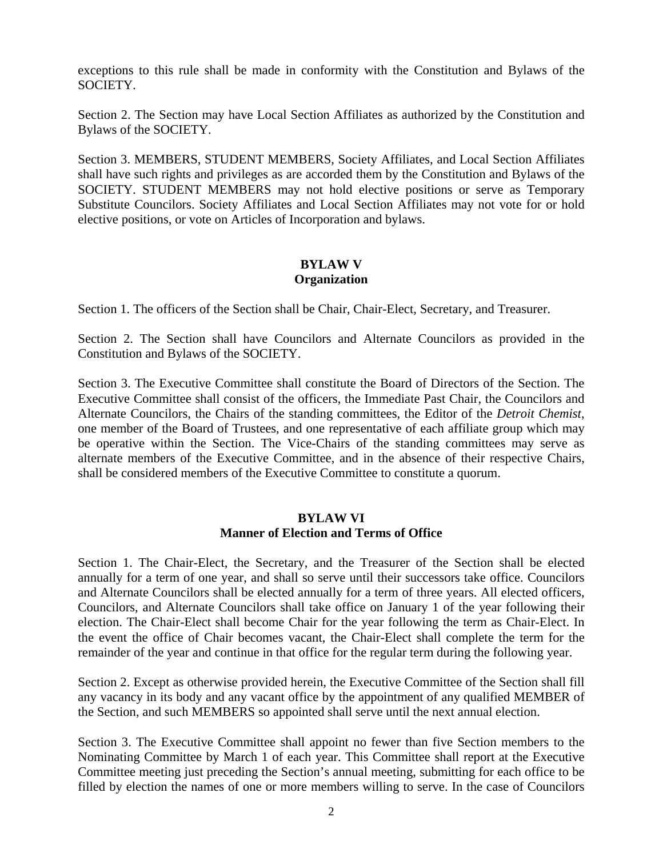exceptions to this rule shall be made in conformity with the Constitution and Bylaws of the SOCIETY.

Section 2. The Section may have Local Section Affiliates as authorized by the Constitution and Bylaws of the SOCIETY.

Section 3. MEMBERS, STUDENT MEMBERS, Society Affiliates, and Local Section Affiliates shall have such rights and privileges as are accorded them by the Constitution and Bylaws of the SOCIETY. STUDENT MEMBERS may not hold elective positions or serve as Temporary Substitute Councilors. Society Affiliates and Local Section Affiliates may not vote for or hold elective positions, or vote on Articles of Incorporation and bylaws.

## **BYLAW V Organization**

Section 1. The officers of the Section shall be Chair, Chair-Elect, Secretary, and Treasurer.

Section 2. The Section shall have Councilors and Alternate Councilors as provided in the Constitution and Bylaws of the SOCIETY.

Section 3. The Executive Committee shall constitute the Board of Directors of the Section. The Executive Committee shall consist of the officers, the Immediate Past Chair, the Councilors and Alternate Councilors, the Chairs of the standing committees, the Editor of the *Detroit Chemist*, one member of the Board of Trustees, and one representative of each affiliate group which may be operative within the Section. The Vice-Chairs of the standing committees may serve as alternate members of the Executive Committee, and in the absence of their respective Chairs, shall be considered members of the Executive Committee to constitute a quorum.

# **BYLAW VI Manner of Election and Terms of Office**

Section 1. The Chair-Elect, the Secretary, and the Treasurer of the Section shall be elected annually for a term of one year, and shall so serve until their successors take office. Councilors and Alternate Councilors shall be elected annually for a term of three years. All elected officers, Councilors, and Alternate Councilors shall take office on January 1 of the year following their election. The Chair-Elect shall become Chair for the year following the term as Chair-Elect. In the event the office of Chair becomes vacant, the Chair-Elect shall complete the term for the remainder of the year and continue in that office for the regular term during the following year.

Section 2. Except as otherwise provided herein, the Executive Committee of the Section shall fill any vacancy in its body and any vacant office by the appointment of any qualified MEMBER of the Section, and such MEMBERS so appointed shall serve until the next annual election.

Section 3. The Executive Committee shall appoint no fewer than five Section members to the Nominating Committee by March 1 of each year. This Committee shall report at the Executive Committee meeting just preceding the Section's annual meeting, submitting for each office to be filled by election the names of one or more members willing to serve. In the case of Councilors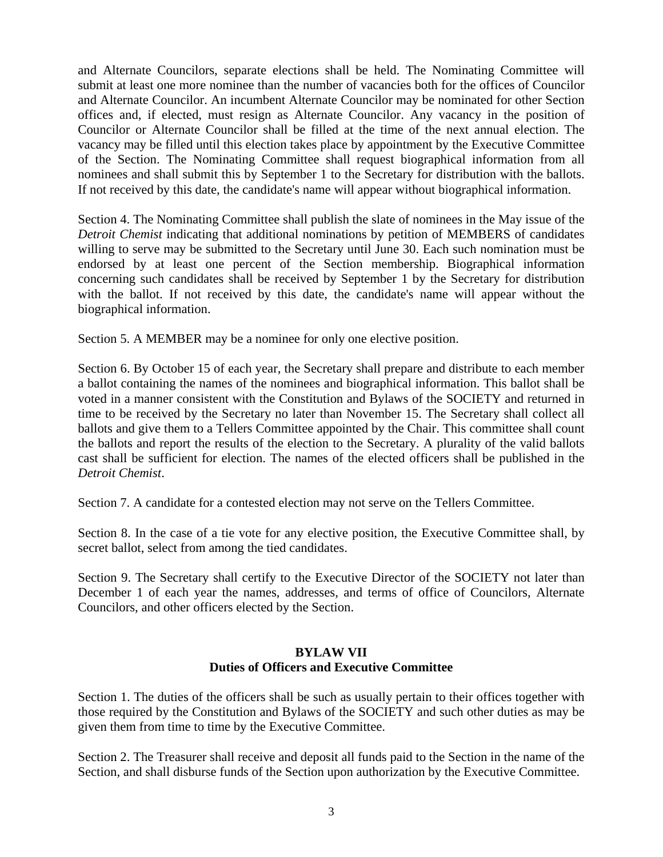and Alternate Councilors, separate elections shall be held. The Nominating Committee will submit at least one more nominee than the number of vacancies both for the offices of Councilor and Alternate Councilor. An incumbent Alternate Councilor may be nominated for other Section offices and, if elected, must resign as Alternate Councilor. Any vacancy in the position of Councilor or Alternate Councilor shall be filled at the time of the next annual election. The vacancy may be filled until this election takes place by appointment by the Executive Committee of the Section. The Nominating Committee shall request biographical information from all nominees and shall submit this by September 1 to the Secretary for distribution with the ballots. If not received by this date, the candidate's name will appear without biographical information.

Section 4. The Nominating Committee shall publish the slate of nominees in the May issue of the *Detroit Chemist* indicating that additional nominations by petition of MEMBERS of candidates willing to serve may be submitted to the Secretary until June 30. Each such nomination must be endorsed by at least one percent of the Section membership. Biographical information concerning such candidates shall be received by September 1 by the Secretary for distribution with the ballot. If not received by this date, the candidate's name will appear without the biographical information.

Section 5. A MEMBER may be a nominee for only one elective position.

Section 6. By October 15 of each year, the Secretary shall prepare and distribute to each member a ballot containing the names of the nominees and biographical information. This ballot shall be voted in a manner consistent with the Constitution and Bylaws of the SOCIETY and returned in time to be received by the Secretary no later than November 15. The Secretary shall collect all ballots and give them to a Tellers Committee appointed by the Chair. This committee shall count the ballots and report the results of the election to the Secretary. A plurality of the valid ballots cast shall be sufficient for election. The names of the elected officers shall be published in the *Detroit Chemist*.

Section 7. A candidate for a contested election may not serve on the Tellers Committee.

Section 8. In the case of a tie vote for any elective position, the Executive Committee shall, by secret ballot, select from among the tied candidates.

Section 9. The Secretary shall certify to the Executive Director of the SOCIETY not later than December 1 of each year the names, addresses, and terms of office of Councilors, Alternate Councilors, and other officers elected by the Section.

## **BYLAW VII Duties of Officers and Executive Committee**

Section 1. The duties of the officers shall be such as usually pertain to their offices together with those required by the Constitution and Bylaws of the SOCIETY and such other duties as may be given them from time to time by the Executive Committee.

Section 2. The Treasurer shall receive and deposit all funds paid to the Section in the name of the Section, and shall disburse funds of the Section upon authorization by the Executive Committee.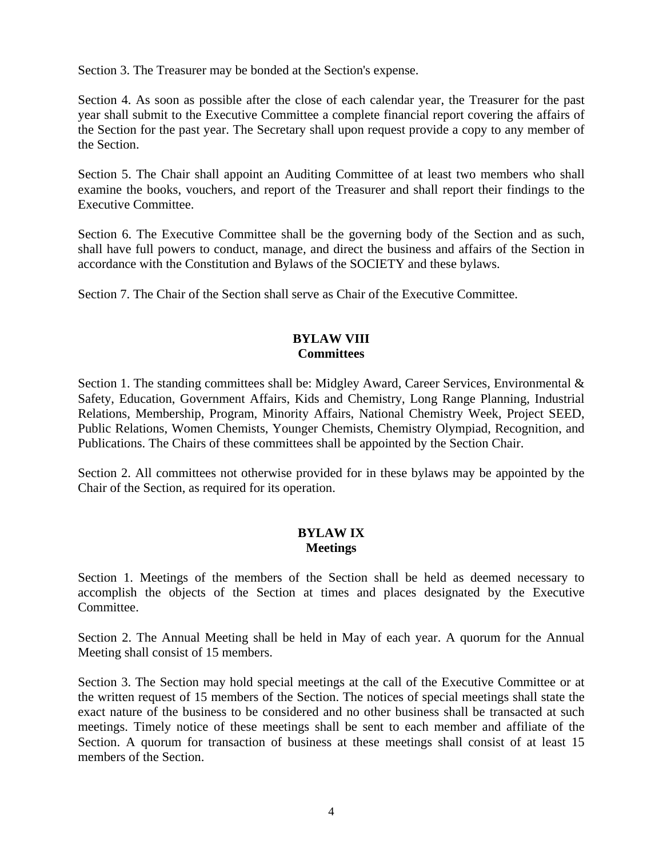Section 3. The Treasurer may be bonded at the Section's expense.

Section 4. As soon as possible after the close of each calendar year, the Treasurer for the past year shall submit to the Executive Committee a complete financial report covering the affairs of the Section for the past year. The Secretary shall upon request provide a copy to any member of the Section.

Section 5. The Chair shall appoint an Auditing Committee of at least two members who shall examine the books, vouchers, and report of the Treasurer and shall report their findings to the Executive Committee.

Section 6. The Executive Committee shall be the governing body of the Section and as such, shall have full powers to conduct, manage, and direct the business and affairs of the Section in accordance with the Constitution and Bylaws of the SOCIETY and these bylaws.

Section 7. The Chair of the Section shall serve as Chair of the Executive Committee.

## **BYLAW VIII Committees**

Section 1. The standing committees shall be: Midgley Award, Career Services, Environmental & Safety, Education, Government Affairs, Kids and Chemistry, Long Range Planning, Industrial Relations, Membership, Program, Minority Affairs, National Chemistry Week, Project SEED, Public Relations, Women Chemists, Younger Chemists, Chemistry Olympiad, Recognition, and Publications. The Chairs of these committees shall be appointed by the Section Chair.

Section 2. All committees not otherwise provided for in these bylaws may be appointed by the Chair of the Section, as required for its operation.

## **BYLAW IX Meetings**

Section 1. Meetings of the members of the Section shall be held as deemed necessary to accomplish the objects of the Section at times and places designated by the Executive Committee.

Section 2. The Annual Meeting shall be held in May of each year. A quorum for the Annual Meeting shall consist of 15 members.

Section 3. The Section may hold special meetings at the call of the Executive Committee or at the written request of 15 members of the Section. The notices of special meetings shall state the exact nature of the business to be considered and no other business shall be transacted at such meetings. Timely notice of these meetings shall be sent to each member and affiliate of the Section. A quorum for transaction of business at these meetings shall consist of at least 15 members of the Section.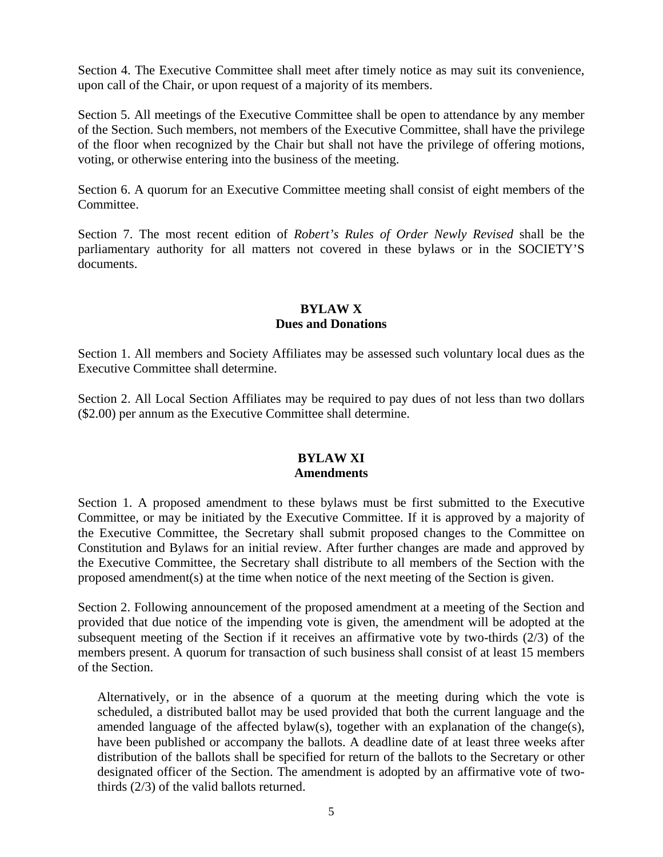Section 4. The Executive Committee shall meet after timely notice as may suit its convenience, upon call of the Chair, or upon request of a majority of its members.

Section 5. All meetings of the Executive Committee shall be open to attendance by any member of the Section. Such members, not members of the Executive Committee, shall have the privilege of the floor when recognized by the Chair but shall not have the privilege of offering motions, voting, or otherwise entering into the business of the meeting.

Section 6. A quorum for an Executive Committee meeting shall consist of eight members of the Committee.

Section 7. The most recent edition of *Robert's Rules of Order Newly Revised* shall be the parliamentary authority for all matters not covered in these bylaws or in the SOCIETY'S documents.

#### **BYLAW X Dues and Donations**

Section 1. All members and Society Affiliates may be assessed such voluntary local dues as the Executive Committee shall determine.

Section 2. All Local Section Affiliates may be required to pay dues of not less than two dollars (\$2.00) per annum as the Executive Committee shall determine.

## **BYLAW XI Amendments**

Section 1. A proposed amendment to these bylaws must be first submitted to the Executive Committee, or may be initiated by the Executive Committee. If it is approved by a majority of the Executive Committee, the Secretary shall submit proposed changes to the Committee on Constitution and Bylaws for an initial review. After further changes are made and approved by the Executive Committee, the Secretary shall distribute to all members of the Section with the proposed amendment(s) at the time when notice of the next meeting of the Section is given.

Section 2. Following announcement of the proposed amendment at a meeting of the Section and provided that due notice of the impending vote is given, the amendment will be adopted at the subsequent meeting of the Section if it receives an affirmative vote by two-thirds  $(2/3)$  of the members present. A quorum for transaction of such business shall consist of at least 15 members of the Section.

Alternatively, or in the absence of a quorum at the meeting during which the vote is scheduled, a distributed ballot may be used provided that both the current language and the amended language of the affected bylaw(s), together with an explanation of the change(s), have been published or accompany the ballots. A deadline date of at least three weeks after distribution of the ballots shall be specified for return of the ballots to the Secretary or other designated officer of the Section. The amendment is adopted by an affirmative vote of twothirds (2/3) of the valid ballots returned.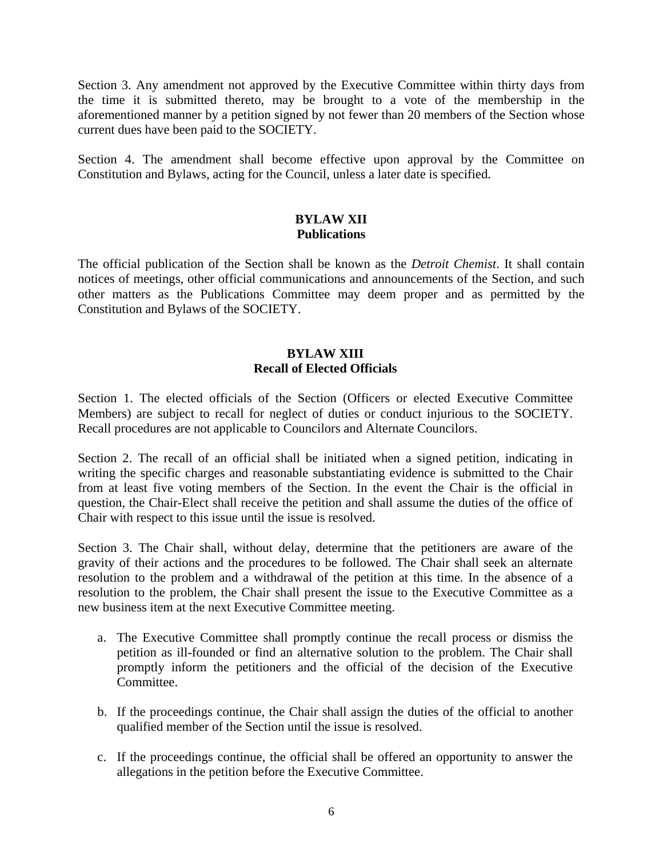Section 3. Any amendment not approved by the Executive Committee within thirty days from the time it is submitted thereto, may be brought to a vote of the membership in the aforementioned manner by a petition signed by not fewer than 20 members of the Section whose current dues have been paid to the SOCIETY.

Section 4. The amendment shall become effective upon approval by the Committee on Constitution and Bylaws, acting for the Council, unless a later date is specified.

#### **BYLAW XII Publications**

The official publication of the Section shall be known as the *Detroit Chemist*. It shall contain notices of meetings, other official communications and announcements of the Section, and such other matters as the Publications Committee may deem proper and as permitted by the Constitution and Bylaws of the SOCIETY.

## **BYLAW XIII Recall of Elected Officials**

Section 1. The elected officials of the Section (Officers or elected Executive Committee Members) are subject to recall for neglect of duties or conduct injurious to the SOCIETY. Recall procedures are not applicable to Councilors and Alternate Councilors.

Section 2. The recall of an official shall be initiated when a signed petition, indicating in writing the specific charges and reasonable substantiating evidence is submitted to the Chair from at least five voting members of the Section. In the event the Chair is the official in question, the Chair-Elect shall receive the petition and shall assume the duties of the office of Chair with respect to this issue until the issue is resolved.

Section 3. The Chair shall, without delay, determine that the petitioners are aware of the gravity of their actions and the procedures to be followed. The Chair shall seek an alternate resolution to the problem and a withdrawal of the petition at this time. In the absence of a resolution to the problem, the Chair shall present the issue to the Executive Committee as a new business item at the next Executive Committee meeting.

- a. The Executive Committee shall promptly continue the recall process or dismiss the petition as ill-founded or find an alternative solution to the problem. The Chair shall promptly inform the petitioners and the official of the decision of the Executive Committee.
- b. If the proceedings continue, the Chair shall assign the duties of the official to another qualified member of the Section until the issue is resolved.
- c. If the proceedings continue, the official shall be offered an opportunity to answer the allegations in the petition before the Executive Committee.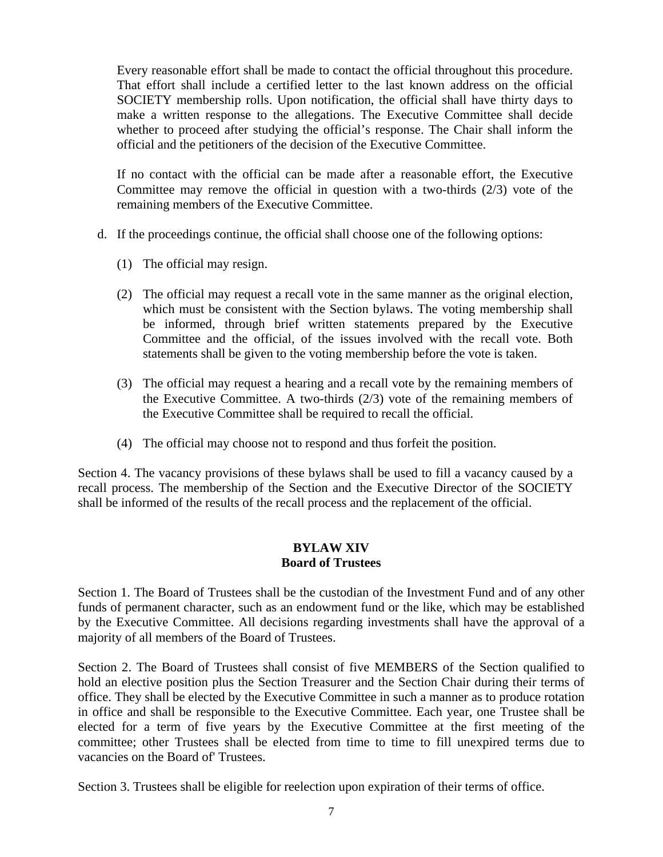Every reasonable effort shall be made to contact the official throughout this procedure. That effort shall include a certified letter to the last known address on the official SOCIETY membership rolls. Upon notification, the official shall have thirty days to make a written response to the allegations. The Executive Committee shall decide whether to proceed after studying the official's response. The Chair shall inform the official and the petitioners of the decision of the Executive Committee.

If no contact with the official can be made after a reasonable effort, the Executive Committee may remove the official in question with a two-thirds  $(2/3)$  vote of the remaining members of the Executive Committee.

- d. If the proceedings continue, the official shall choose one of the following options:
	- (1) The official may resign.
	- (2) The official may request a recall vote in the same manner as the original election, which must be consistent with the Section bylaws. The voting membership shall be informed, through brief written statements prepared by the Executive Committee and the official, of the issues involved with the recall vote. Both statements shall be given to the voting membership before the vote is taken.
	- (3) The official may request a hearing and a recall vote by the remaining members of the Executive Committee. A two-thirds (2/3) vote of the remaining members of the Executive Committee shall be required to recall the official.
	- (4) The official may choose not to respond and thus forfeit the position.

Section 4. The vacancy provisions of these bylaws shall be used to fill a vacancy caused by a recall process. The membership of the Section and the Executive Director of the SOCIETY shall be informed of the results of the recall process and the replacement of the official.

## **BYLAW XIV Board of Trustees**

Section 1. The Board of Trustees shall be the custodian of the Investment Fund and of any other funds of permanent character, such as an endowment fund or the like, which may be established by the Executive Committee. All decisions regarding investments shall have the approval of a majority of all members of the Board of Trustees.

Section 2. The Board of Trustees shall consist of five MEMBERS of the Section qualified to hold an elective position plus the Section Treasurer and the Section Chair during their terms of office. They shall be elected by the Executive Committee in such a manner as to produce rotation in office and shall be responsible to the Executive Committee. Each year, one Trustee shall be elected for a term of five years by the Executive Committee at the first meeting of the committee; other Trustees shall be elected from time to time to fill unexpired terms due to vacancies on the Board of' Trustees.

Section 3. Trustees shall be eligible for reelection upon expiration of their terms of office.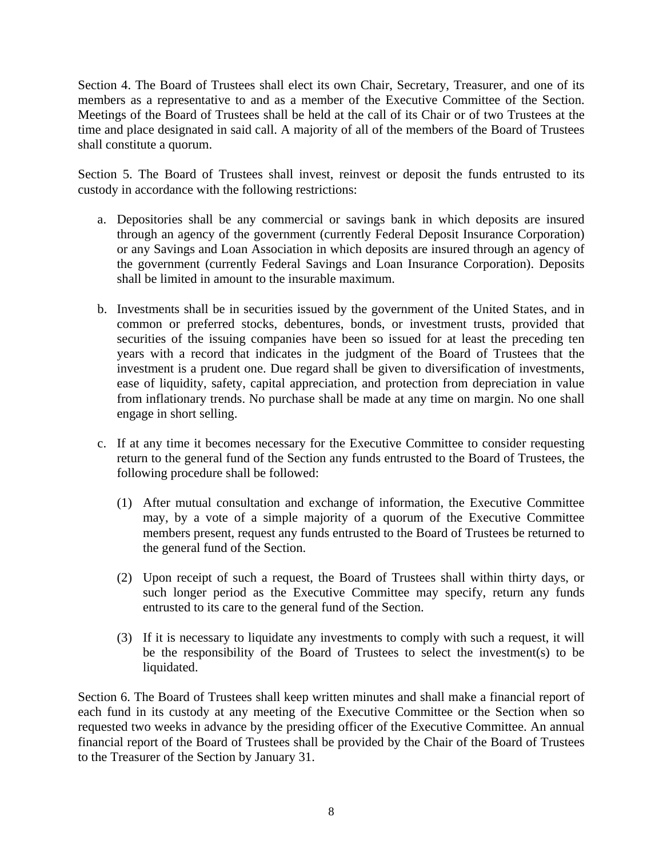Section 4. The Board of Trustees shall elect its own Chair, Secretary, Treasurer, and one of its members as a representative to and as a member of the Executive Committee of the Section. Meetings of the Board of Trustees shall be held at the call of its Chair or of two Trustees at the time and place designated in said call. A majority of all of the members of the Board of Trustees shall constitute a quorum.

Section 5. The Board of Trustees shall invest, reinvest or deposit the funds entrusted to its custody in accordance with the following restrictions:

- a. Depositories shall be any commercial or savings bank in which deposits are insured through an agency of the government (currently Federal Deposit Insurance Corporation) or any Savings and Loan Association in which deposits are insured through an agency of the government (currently Federal Savings and Loan Insurance Corporation). Deposits shall be limited in amount to the insurable maximum.
- b. Investments shall be in securities issued by the government of the United States, and in common or preferred stocks, debentures, bonds, or investment trusts, provided that securities of the issuing companies have been so issued for at least the preceding ten years with a record that indicates in the judgment of the Board of Trustees that the investment is a prudent one. Due regard shall be given to diversification of investments, ease of liquidity, safety, capital appreciation, and protection from depreciation in value from inflationary trends. No purchase shall be made at any time on margin. No one shall engage in short selling.
- c. If at any time it becomes necessary for the Executive Committee to consider requesting return to the general fund of the Section any funds entrusted to the Board of Trustees, the following procedure shall be followed:
	- (1) After mutual consultation and exchange of information, the Executive Committee may, by a vote of a simple majority of a quorum of the Executive Committee members present, request any funds entrusted to the Board of Trustees be returned to the general fund of the Section.
	- (2) Upon receipt of such a request, the Board of Trustees shall within thirty days, or such longer period as the Executive Committee may specify, return any funds entrusted to its care to the general fund of the Section.
	- (3) If it is necessary to liquidate any investments to comply with such a request, it will be the responsibility of the Board of Trustees to select the investment(s) to be liquidated.

Section 6. The Board of Trustees shall keep written minutes and shall make a financial report of each fund in its custody at any meeting of the Executive Committee or the Section when so requested two weeks in advance by the presiding officer of the Executive Committee. An annual financial report of the Board of Trustees shall be provided by the Chair of the Board of Trustees to the Treasurer of the Section by January 31.